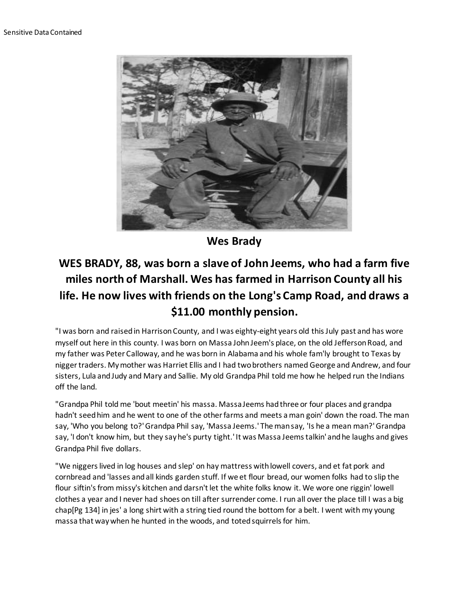

**Wes Brady**

## **WES BRADY, 88, was born a slave of John Jeems, who had a farm five miles north of Marshall. Wes has farmed in Harrison County all his life. He now lives with friends on the Long's Camp Road, and draws a \$11.00 monthly pension.**

"I was born and raised in Harrison County, and I was eighty-eight years old this July past and has wore myself out here in this county. I was born on Massa John Jeem's place, on the old Jefferson Road, and my father was Peter Calloway, and he was born in Alabama and his whole fam'ly brought to Texas by nigger traders. My mother was Harriet Ellis and I had two brothers named George and Andrew, and four sisters, Lula and Judy and Mary and Sallie. My old Grandpa Phil told me how he helped run the Indians off the land.

"Grandpa Phil told me 'bout meetin' his massa. Massa Jeems had three or four places and grandpa hadn't seed him and he went to one of the other farms and meets a man goin' down the road. The man say, 'Who you belong to?' Grandpa Phil say, 'Massa Jeems.' The man say, 'Is he a mean man?' Grandpa say, 'I don't know him, but they say he's purty tight.' It was Massa Jeems talkin' and he laughs and gives Grandpa Phil five dollars.

"We niggers lived in log houses and slep' on hay mattress with lowell covers, and et fat pork and cornbread and 'lasses and all kinds garden stuff. If we et flour bread, our women folks had to slip the flour siftin's from missy's kitchen and darsn't let the white folks know it. We wore one riggin' lowell clothes a year and I never had shoes on till after surrender come. I run all over the place till I was a big chap[Pg 134] in jes' a long shirt with a string tied round the bottom for a belt. I went with my young massa that way when he hunted in the woods, and toted squirrels for him.